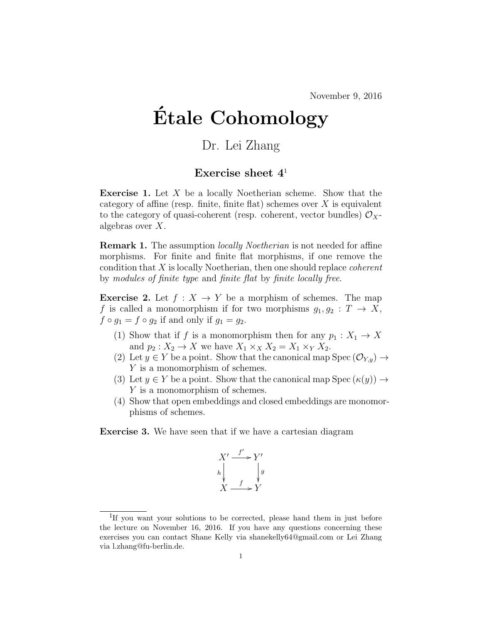November 9, 2016

## Etale Cohomology ´

## Dr. Lei Zhang

## Exercise sheet  $4<sup>1</sup>$

**Exercise 1.** Let  $X$  be a locally Noetherian scheme. Show that the category of affine (resp. finite, finite flat) schemes over  $X$  is equivalent to the category of quasi-coherent (resp. coherent, vector bundles)  $\mathcal{O}_X$ algebras over X.

**Remark 1.** The assumption *locally Noetherian* is not needed for affine morphisms. For finite and finite flat morphisms, if one remove the condition that  $X$  is locally Noetherian, then one should replace *coherent* by modules of finite type and finite flat by finite locally free.

**Exercise 2.** Let  $f : X \to Y$  be a morphism of schemes. The map f is called a monomorphism if for two morphisms  $g_1, g_2 : T \to X$ ,  $f \circ g_1 = f \circ g_2$  if and only if  $g_1 = g_2$ .

- (1) Show that if f is a monomorphism then for any  $p_1 : X_1 \to X$ and  $p_2: X_2 \to X$  we have  $X_1 \times_X X_2 = X_1 \times_Y X_2$ .
- (2) Let  $y \in Y$  be a point. Show that the canonical map Spec  $(\mathcal{O}_{Y,y}) \to$ Y is a monomorphism of schemes.
- (3) Let  $y \in Y$  be a point. Show that the canonical map Spec  $(\kappa(y)) \to$ Y is a monomorphism of schemes.
- (4) Show that open embeddings and closed embeddings are monomorphisms of schemes.

Exercise 3. We have seen that if we have a cartesian diagram

$$
X' \xrightarrow{f'} Y' \nh \downarrow g
$$
\n
$$
X \xrightarrow{f} Y
$$

<sup>&</sup>lt;sup>1</sup>If you want your solutions to be corrected, please hand them in just before the lecture on November 16, 2016. If you have any questions concerning these exercises you can contact Shane Kelly via shanekelly64@gmail.com or Lei Zhang via l.zhang@fu-berlin.de.